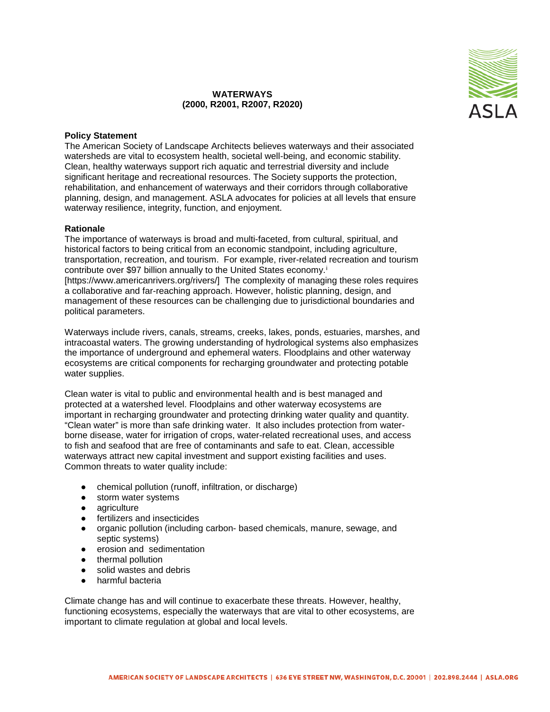## **WATERWAYS (2000, R2001, R2007, R2020)**



## **Policy Statement**

The American Society of Landscape Architects believes waterways and their associated watersheds are vital to ecosystem health, societal well-being, and economic stability. Clean, healthy waterways support rich aquatic and terrestrial diversity and include significant heritage and recreational resources. The Society supports the protection, rehabilitation, and enhancement of waterways and their corridors through collaborative planning, design, and management. ASLA advocates for policies at all levels that ensure waterway resilience, integrity, function, and enjoyment.

## **Rationale**

The importance of waterways is broad and multi-faceted, from cultural, spiritual, and historical factors to being critical from an economic standpoint, including agriculture, transportation, recreation, and tourism. For example, river-related recreation and tourism contribute over \$97 billion annually to the United States economy.[i](#page-3-0) [https://www.americanrivers.org/rivers/] The complexity of managing these roles requires a collaborative and far-reaching approach. However, holistic planning, design, and management of these resources can be challenging due to jurisdictional boundaries and political parameters.

Waterways include rivers, canals, streams, creeks, lakes, ponds, estuaries, marshes, and intracoastal waters. The growing understanding of hydrological systems also emphasizes the importance of underground and ephemeral waters. Floodplains and other waterway ecosystems are critical components for recharging groundwater and protecting potable water supplies.

Clean water is vital to public and environmental health and is best managed and protected at a watershed level. Floodplains and other waterway ecosystems are important in recharging groundwater and protecting drinking water quality and quantity. "Clean water" is more than safe drinking water. It also includes protection from waterborne disease, water for irrigation of crops, water-related recreational uses, and access to fish and seafood that are free of contaminants and safe to eat. Clean, accessible waterways attract new capital investment and support existing facilities and uses. Common threats to water quality include:

- chemical pollution (runoff, infiltration, or discharge)
- storm water systems
- agriculture
- fertilizers and insecticides
- organic pollution (including carbon- based chemicals, manure, sewage, and septic systems)
- erosion and sedimentation
- thermal pollution
- solid wastes and debris
- harmful bacteria

Climate change has and will continue to exacerbate these threats. However, healthy, functioning ecosystems, especially the waterways that are vital to other ecosystems, are important to climate regulation at global and local levels.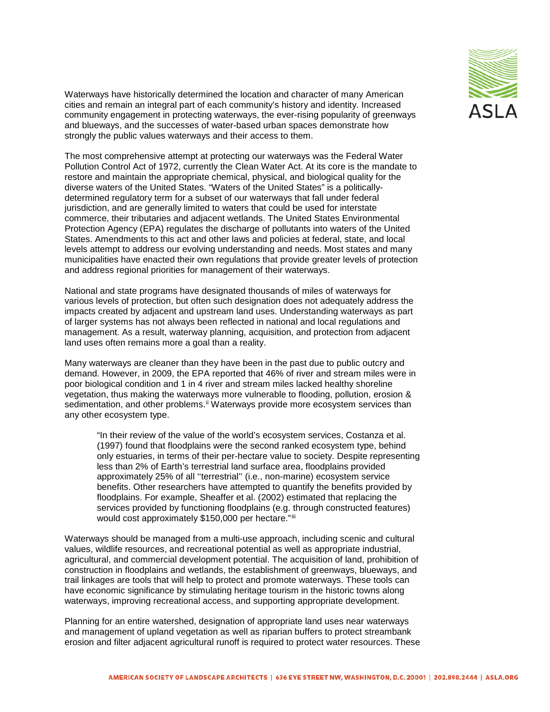

Waterways have historically determined the location and character of many American cities and remain an integral part of each community's history and identity. Increased community engagement in protecting waterways, the ever-rising popularity of greenways and blueways, and the successes of water-based urban spaces demonstrate how strongly the public values waterways and their access to them.

The most comprehensive attempt at protecting our waterways was the Federal Water Pollution Control Act of 1972, currently the Clean Water Act. At its core is the mandate to restore and maintain the appropriate chemical, physical, and biological quality for the diverse waters of the United States. "Waters of the United States" is a politicallydetermined regulatory term for a subset of our waterways that fall under federal jurisdiction, and are generally limited to waters that could be used for interstate commerce, their tributaries and adjacent wetlands. The United States Environmental Protection Agency (EPA) regulates the discharge of pollutants into waters of the United States. Amendments to this act and other laws and policies at federal, state, and local levels attempt to address our evolving understanding and needs. Most states and many municipalities have enacted their own regulations that provide greater levels of protection and address regional priorities for management of their waterways.

National and state programs have designated thousands of miles of waterways for various levels of protection, but often such designation does not adequately address the impacts created by adjacent and upstream land uses. Understanding waterways as part of larger systems has not always been reflected in national and local regulations and management. As a result, waterway planning, acquisition, and protection from adjacent land uses often remains more a goal than a reality.

Many waterways are cleaner than they have been in the past due to public outcry and demand. However, in 2009, the EPA reported that 46% of river and stream miles were in poor biological condition and 1 in 4 river and stream miles lacked healthy shoreline vegetation, thus making the waterways more vulnerable to flooding, pollution, erosion & sedimentation, and other problems.<sup>[ii](#page-3-1)</sup> Waterways provide more ecosystem services than any other ecosystem type.

"In their review of the value of the world's ecosystem services, Costanza et al. (1997) found that floodplains were the second ranked ecosystem type, behind only estuaries, in terms of their per-hectare value to society. Despite representing less than 2% of Earth's terrestrial land surface area, floodplains provided approximately 25% of all ''terrestrial'' (i.e., non-marine) ecosystem service benefits. Other researchers have attempted to quantify the benefits provided by floodplains. For example, Sheaffer et al. (2002) estimated that replacing the services provided by functioning floodplains (e.g. through constructed features) would cost approximately \$150,000 per hectare."[iii](#page-3-2)

Waterways should be managed from a multi-use approach, including scenic and cultural values, wildlife resources, and recreational potential as well as appropriate industrial, agricultural, and commercial development potential. The acquisition of land, prohibition of construction in floodplains and wetlands, the establishment of greenways, blueways, and trail linkages are tools that will help to protect and promote waterways. These tools can have economic significance by stimulating heritage tourism in the historic towns along waterways, improving recreational access, and supporting appropriate development.

Planning for an entire watershed, designation of appropriate land uses near waterways and management of upland vegetation as well as riparian buffers to protect streambank erosion and filter adjacent agricultural runoff is required to protect water resources. These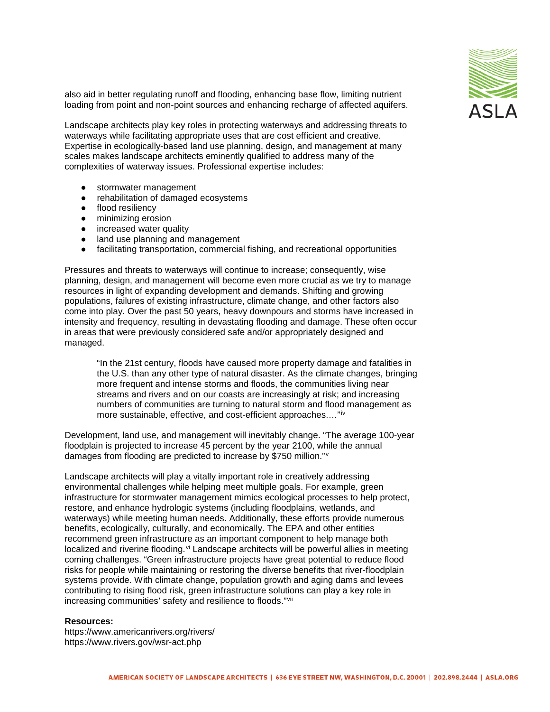

also aid in better regulating runoff and flooding, enhancing base flow, limiting nutrient loading from point and non-point sources and enhancing recharge of affected aquifers.

Landscape architects play key roles in protecting waterways and addressing threats to waterways while facilitating appropriate uses that are cost efficient and creative. Expertise in ecologically-based land use planning, design, and management at many scales makes landscape architects eminently qualified to address many of the complexities of waterway issues. Professional expertise includes:

- stormwater management
- rehabilitation of damaged ecosystems
- flood resiliency
- minimizing erosion
- increased water quality
- land use planning and management
- facilitating transportation, commercial fishing, and recreational opportunities

Pressures and threats to waterways will continue to increase; consequently, wise planning, design, and management will become even more crucial as we try to manage resources in light of expanding development and demands. Shifting and growing populations, failures of existing infrastructure, climate change, and other factors also come into play. Over the past 50 years, heavy downpours and storms have increased in intensity and frequency, resulting in devastating flooding and damage. These often occur in areas that were previously considered safe and/or appropriately designed and managed.

"In the 21st century, floods have caused more property damage and fatalities in the U.S. than any other type of natural disaster. As the climate changes, bringing more frequent and intense storms and floods, the communities living near streams and rivers and on our coasts are increasingly at risk; and increasing numbers of communities are turning to natural storm and flood management as more sustainable, effective, and cost-efficient approaches.…"[iv](#page-3-3)

Development, land use, and management will inevitably change. "The average 100-year floodplain is projected to increase 45 percent by the year 2100, while the annual damages from flooding are predicted to increase by \$750 million."[v](#page-3-4)

Landscape architects will play a vitally important role in creatively addressing environmental challenges while helping meet multiple goals. For example, green infrastructure for stormwater management mimics ecological processes to help protect, restore, and enhance hydrologic systems (including floodplains, wetlands, and waterways) while meeting human needs. Additionally, these efforts provide numerous benefits, ecologically, culturally, and economically. The EPA and other entities recommend green infrastructure as an important component to help manage both localized and riverine flooding.<sup>[vi](#page-3-5)</sup> Landscape architects will be powerful allies in meeting coming challenges. "Green infrastructure projects have great potential to reduce flood risks for people while maintaining or restoring the diverse benefits that river-floodplain systems provide. With climate change, population growth and aging dams and levees contributing to rising flood risk, green infrastructure solutions can play a key role in increasing communities' safety and resilience to floods."[vii](#page-3-6)

## **Resources:**

https://www.americanrivers.org/rivers/ https://www.rivers.gov/wsr-act.php